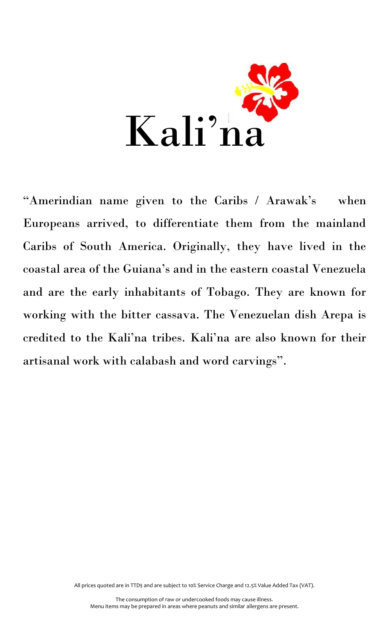

"Amerindian name given to the Caribs / Arawak's when Europeans arrived, to differentiate them from the mainland Caribs of South America. Originally, they have lived in the coastal area of the Guiana's and in the eastern coastal Venezuela and are the early inhabitants of Tobago. They are known for working with the bitter cassava. The Venezuelan dish Arepa is credited to the Kali'na tribes. Kali'na are also known for their artisanal work with calabash and word carvings".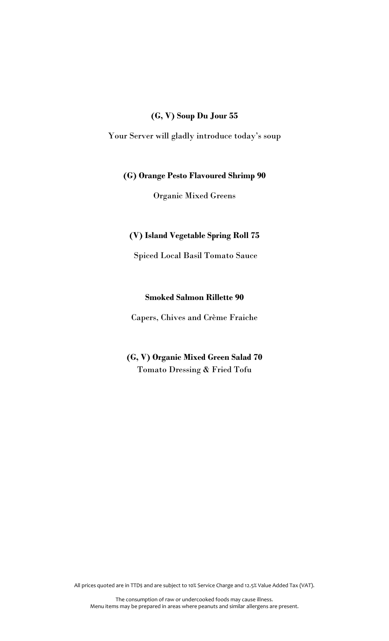#### **(G, V) Soup Du Jour 55**

Your Server will gladly introduce today's soup

### **(G) Orange Pesto Flavoured Shrimp 90**

Organic Mixed Greens

### **(V) Island Vegetable Spring Roll 75**

Spiced Local Basil Tomato Sauce

### **Smoked Salmon Rillette 90**

Capers, Chives and Crème Fraiche

# **(G, V) Organic Mixed Green Salad 70** Tomato Dressing & Fried Tofu

All prices quoted are in TTD\$ and are subject to 10% Service Charge and 12.5% Value Added Tax (VAT).